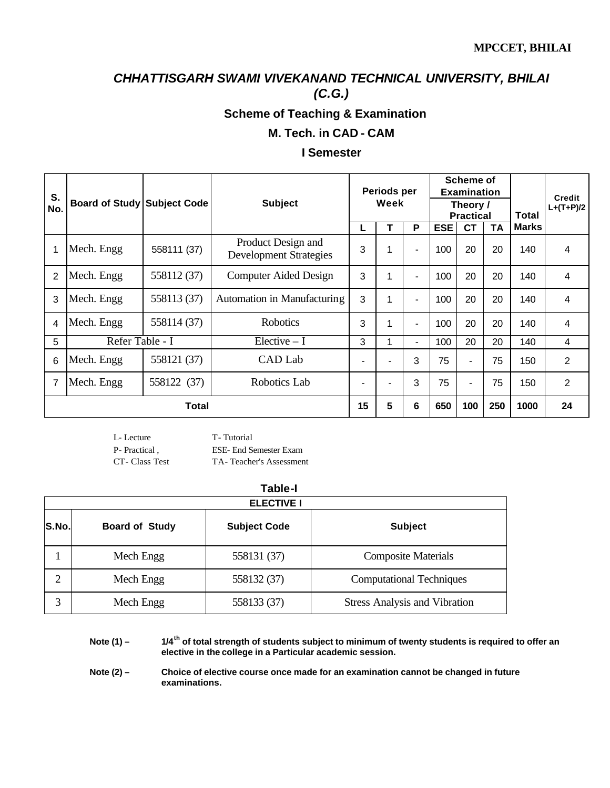# **Scheme of Teaching & Examination**

#### **M. Tech. in CAD - CAM**

#### **I Semester**

| S.             |                                    |             |                                                     | Periods per<br>Week |   | Scheme of<br><b>Examination</b> |            |                              |     |              | <b>Credit</b> |
|----------------|------------------------------------|-------------|-----------------------------------------------------|---------------------|---|---------------------------------|------------|------------------------------|-----|--------------|---------------|
| No.            | <b>Board of Study Subject Code</b> |             | <b>Subject</b>                                      |                     |   |                                 |            | Theory /<br><b>Practical</b> |     | Total        | $L+(T+P)/2$   |
|                |                                    |             |                                                     | L                   | т | P                               | <b>ESE</b> | <b>CT</b>                    | ΤA  | <b>Marks</b> |               |
| 1              | Mech. Engg                         | 558111 (37) | Product Design and<br><b>Development Strategies</b> | 3                   |   | $\blacksquare$                  | 100        | 20                           | 20  | 140          | 4             |
| $\overline{2}$ | Mech. Engg                         | 558112 (37) | Computer Aided Design                               | 3                   | 4 | $\blacksquare$                  | 100        | 20                           | 20  | 140          | 4             |
| 3              | Mech. Engg                         | 558113 (37) | Automation in Manufacturing                         | 3                   | 4 | $\blacksquare$                  | 100        | 20                           | 20  | 140          | 4             |
| 4              | Mech. Engg                         | 558114 (37) | <b>Robotics</b>                                     | 3                   | 4 | $\overline{\phantom{a}}$        | 100        | 20                           | 20  | 140          | 4             |
| 5              | Refer Table - I                    |             | $Electric - I$                                      | 3                   |   | $\overline{\phantom{a}}$        | 100        | 20                           | 20  | 140          | 4             |
| 6              | Mech. Engg                         | 558121 (37) | CAD Lab                                             |                     | ۰ | 3                               | 75         | -                            | 75  | 150          | 2             |
| 7              | Mech. Engg                         | 558122 (37) | Robotics Lab                                        |                     | ۰ | 3                               | 75         | $\blacksquare$               | 75  | 150          | 2             |
|                | <b>Total</b>                       |             |                                                     | 15                  | 5 | 6                               | 650        | 100                          | 250 | 1000         | 24            |

L- Lecture T- Tutorial

P- Practical , ESE- End Semester Exam CT- Class Test TA- Teacher's Assessment

|       | <b>Table-I</b>        |                     |                                      |  |  |  |  |  |
|-------|-----------------------|---------------------|--------------------------------------|--|--|--|--|--|
|       | <b>ELECTIVE I</b>     |                     |                                      |  |  |  |  |  |
| S.No. | <b>Board of Study</b> | <b>Subject Code</b> | <b>Subject</b>                       |  |  |  |  |  |
|       | Mech Engg             | 558131 (37)         | <b>Composite Materials</b>           |  |  |  |  |  |
| 2     | Mech Engg             | 558132 (37)         | <b>Computational Techniques</b>      |  |  |  |  |  |
| 3     | Mech Engg             | 558133 (37)         | <b>Stress Analysis and Vibration</b> |  |  |  |  |  |

**Note (1) – 1/4th of total strength of students subject to minimum of twenty students is required to offer an elective in the college in a Particular academic session.**

**Note (2) – Choice of elective course once made for an examination cannot be changed in future examinations.**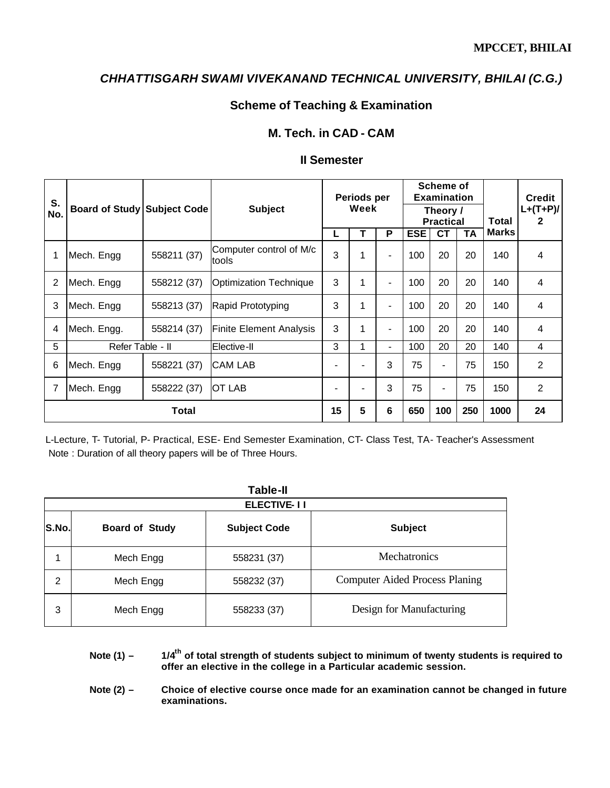## **Scheme of Teaching & Examination**

### **M. Tech. in CAD - CAM**

### **II Semester**

| S.<br>No. | <b>Board of Study Subject Code</b> |             | <b>Subject</b>                   | Periods per<br>Week |   | Scheme of<br><b>Examination</b><br>Theory / | <b>Practical</b> |                |     | Total | <b>Credit</b><br>$L+(T+P)/$<br>2 |
|-----------|------------------------------------|-------------|----------------------------------|---------------------|---|---------------------------------------------|------------------|----------------|-----|-------|----------------------------------|
|           |                                    |             |                                  |                     |   | P                                           | <b>ESE</b>       | <b>CT</b>      | TA  | Marks |                                  |
|           | Mech. Engg                         | 558211 (37) | Computer control of M/c<br>tools | 3                   | 1 |                                             | 100              | 20             | 20  | 140   | 4                                |
| 2         | Mech. Engg                         | 558212 (37) | <b>Optimization Technique</b>    | 3                   | 1 |                                             | 100              | 20             | 20  | 140   | 4                                |
| 3         | Mech. Engg                         | 558213 (37) | Rapid Prototyping                | 3                   | 1 | -                                           | 100              | 20             | 20  | 140   | 4                                |
| 4         | Mech. Engg.                        | 558214 (37) | <b>Finite Element Analysis</b>   | 3                   | 1 |                                             | 100              | 20             | 20  | 140   | 4                                |
| 5         | Refer Table - II                   |             | Elective-II                      | 3                   | 1 | ۰.                                          | 100              | 20             | 20  | 140   | 4                                |
| 6         | Mech. Engg                         | 558221 (37) | <b>CAM LAB</b>                   | -                   |   | 3                                           | 75               | $\blacksquare$ | 75  | 150   | $\overline{2}$                   |
| 7         | Mech. Engg                         | 558222 (37) | IOT LAB                          | -                   |   | 3                                           | 75               | $\blacksquare$ | 75  | 150   | $\overline{2}$                   |
|           |                                    | Total       |                                  | 15                  | 5 | 6                                           | 650              | 100            | 250 | 1000  | 24                               |

L-Lecture, T- Tutorial, P- Practical, ESE- End Semester Examination, CT- Class Test, TA- Teacher's Assessment Note : Duration of all theory papers will be of Three Hours.

|       | <b>Table-II</b>       |                     |                                       |  |  |  |  |  |
|-------|-----------------------|---------------------|---------------------------------------|--|--|--|--|--|
|       | <b>ELECTIVE-11</b>    |                     |                                       |  |  |  |  |  |
| S.No. | <b>Board of Study</b> | <b>Subject Code</b> | <b>Subject</b>                        |  |  |  |  |  |
|       | Mech Engg             | 558231 (37)         | <b>Mechatronics</b>                   |  |  |  |  |  |
| 2     | Mech Engg             | 558232 (37)         | <b>Computer Aided Process Planing</b> |  |  |  |  |  |
| 3     | Mech Engg             | 558233 (37)         | Design for Manufacturing              |  |  |  |  |  |

**Note (1) – 1/4th of total strength of students subject to minimum of twenty students is required to offer an elective in the college in a Particular academic session.**

Note (2) - Choice of elective course once made for an examination cannot be changed in future **examinations.**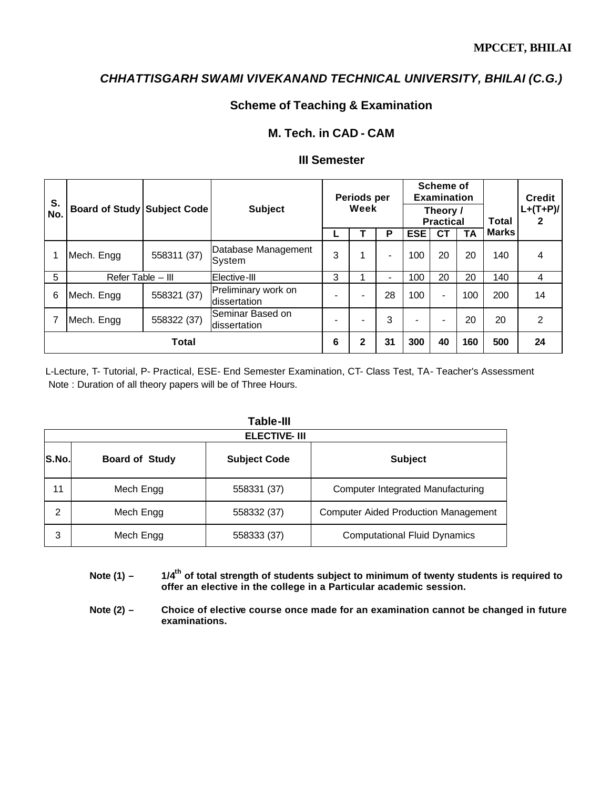## **Scheme of Teaching & Examination**

### **M. Tech. in CAD - CAM**

## **III Semester**

| S.<br>No. | <b>Board of Study Subject Code</b> |             | <b>Subject</b>                      | Periods per<br>Week |   | Scheme of<br><b>Examination</b><br>Theory /<br><b>Practical</b> |            |                | Total | <b>Credit</b><br>$L+(T+P)/$<br>2 |                |
|-----------|------------------------------------|-------------|-------------------------------------|---------------------|---|-----------------------------------------------------------------|------------|----------------|-------|----------------------------------|----------------|
|           |                                    |             |                                     |                     |   | P                                                               | <b>ESE</b> | CТ             | TA    | <b>Marks</b>                     |                |
|           | Mech. Engg                         | 558311 (37) | Database Management<br>System       | 3                   |   | -                                                               | 100        | 20             | 20    | 140                              | 4              |
| 5         | Refer Table - III                  |             | Elective-III                        | 3                   |   | $\overline{\phantom{a}}$                                        | 100        | 20             | 20    | 140                              | 4              |
| 6         | Mech. Engg                         | 558321 (37) | Preliminary work on<br>dissertation |                     |   | 28                                                              | 100        | $\blacksquare$ | 100   | 200                              | 14             |
|           | Mech. Engg                         | 558322 (37) | Seminar Based on<br>dissertation    |                     |   | 3                                                               | ۰          | -              | 20    | 20                               | $\mathfrak{p}$ |
|           |                                    | Total       |                                     | 6                   | 2 | 31                                                              | 300        | 40             | 160   | 500                              | 24             |

L-Lecture, T- Tutorial, P- Practical, ESE- End Semester Examination, CT- Class Test, TA- Teacher's Assessment Note : Duration of all theory papers will be of Three Hours.

|       | <b>Table-III</b>      |                     |                                             |  |  |  |  |  |  |
|-------|-----------------------|---------------------|---------------------------------------------|--|--|--|--|--|--|
|       | <b>ELECTIVE-III</b>   |                     |                                             |  |  |  |  |  |  |
| S.No. | <b>Board of Study</b> | <b>Subject Code</b> | <b>Subject</b>                              |  |  |  |  |  |  |
| 11    | Mech Engg             | 558331 (37)         | Computer Integrated Manufacturing           |  |  |  |  |  |  |
| 2     | Mech Engg             | 558332 (37)         | <b>Computer Aided Production Management</b> |  |  |  |  |  |  |
| 3     | Mech Engg             | 558333 (37)         | <b>Computational Fluid Dynamics</b>         |  |  |  |  |  |  |

**Note (1) – 1/4th of total strength of students subject to minimum of twenty students is required to offer an elective in the college in a Particular academic session.**

Note (2) – Choice of elective course once made for an examination cannot be changed in future **examinations.**